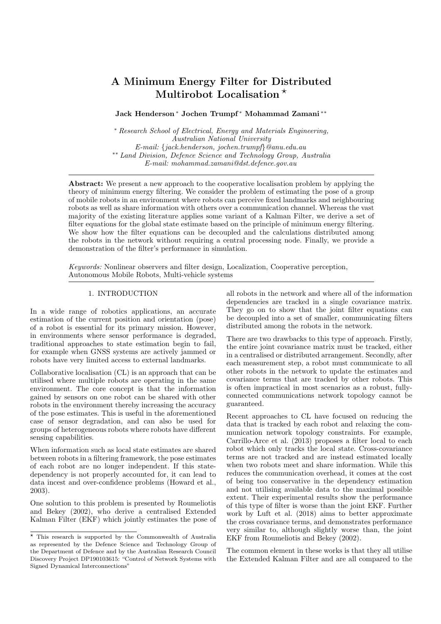# A Minimum Energy Filter for Distributed Multirobot Localisation  $*$

# Jack Henderson<sup>\*</sup> Jochen Trumpf<sup>\*</sup> Mohammad Zamani<sup>\*\*</sup>

\* Research School of Electrical, Energy and Materials Engineering. Australian National University  $E$ -mail: {jack.henderson, jochen.trumpf}@anu.edu.au \*\* Land Division, Defence Science and Technology Group, Australia  $E$ -mail: mohammad.zamani@dst.defence.qov.au

**Abstract:** We present a new approach to the cooperative localisation problem by applying the theory of minimum energy filtering. We consider the problem of estimating the pose of a group of mobile robots in an environment where robots can perceive fixed landmarks and neighbouring robots as well as share information with others over a communication channel. Whereas the vast majority of the existing literature applies some variant of a Kalman Filter, we derive a set of filter equations for the global state estimate based on the principle of minimum energy filtering. We show how the filter equations can be decoupled and the calculations distributed among the robots in the network without requiring a central processing node. Finally, we provide a demonstration of the filter's performance in simulation.

Keywords: Nonlinear observers and filter design, Localization, Cooperative perception, Autonomous Mobile Robots, Multi-vehicle systems

# 1. INTRODUCTION

In a wide range of robotics applications, an accurate estimation of the current position and orientation (pose) of a robot is essential for its primary mission. However, in environments where sensor performance is degraded, traditional approaches to state estimation begin to fail, for example when GNSS systems are actively jammed or robots have very limited access to external landmarks.

Collaborative localisation  $(CL)$  is an approach that can be utilised where multiple robots are operating in the same environment. The core concept is that the information gained by sensors on one robot can be shared with other robots in the environment thereby increasing the accuracy of the pose estimates. This is useful in the aforementioned case of sensor degradation, and can also be used for groups of heterogeneous robots where robots have different sensing capabilities.

When information such as local state estimates are shared between robots in a filtering framework, the pose estimates of each robot are no longer independent. If this statedependency is not properly accounted for, it can lead to data incest and over-confidence problems (Howard et al.,  $2003$ ).

One solution to this problem is presented by Roumeliotis and Bekey (2002), who derive a centralised Extended Kalman Filter (EKF) which jointly estimates the pose of all robots in the network and where all of the information dependencies are tracked in a single covariance matrix. They go on to show that the joint filter equations can be decoupled into a set of smaller, communicating filters distributed among the robots in the network.

There are two drawbacks to this type of approach. Firstly, the entire joint covariance matrix must be tracked, either in a centralised or distributed arrangement. Secondly, after each measurement step, a robot must communicate to all other robots in the network to update the estimates and covariance terms that are tracked by other robots. This is often impractical in most scenarios as a robust, fullyconnected communications network topology cannot be guaranteed.

Recent approaches to CL have focused on reducing the data that is tracked by each robot and relaxing the communication network topology constraints. For example, Carrillo-Arce et al. (2013) proposes a filter local to each robot which only tracks the local state. Cross-covariance terms are not tracked and are instead estimated locally when two robots meet and share information. While this reduces the communication overhead, it comes at the cost of being too conservative in the dependency estimation and not utilising available data to the maximal possible extent. Their experimental results show the performance of this type of filter is worse than the joint EKF. Further work by Luft et al. (2018) aims to better approximate the cross covariance terms, and demonstrates performance very similar to, although slightly worse than, the joint EKF from Roumeliotis and Bekey (2002).

The common element in these works is that they all utilise the Extended Kalman Filter and are all compared to the

 $\star$  This research is supported by the Commonwealth of Australia as represented by the Defence Science and Technology Group of the Department of Defence and by the Australian Research Council Discovery Project DP190103615: "Control of Network Systems with Signed Dynamical Interconnections"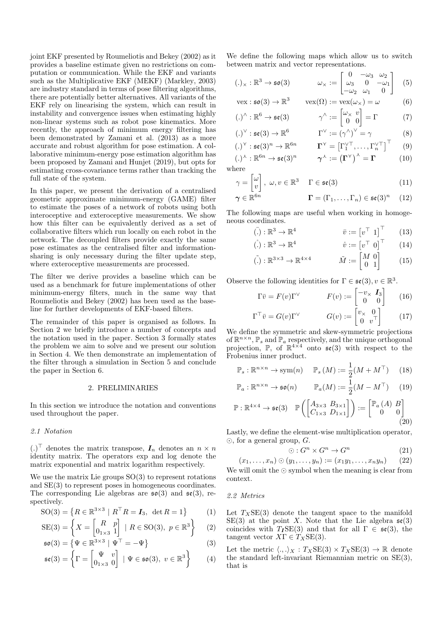joint EKF presented by Roumeliotis and Bekey (2002) as it provides a baseline estimate given no restrictions on computation or communication. While the EKF and variants such as the Multiplicative EKF (MEKF) (Markley, 2003) are industry standard in terms of pose filtering algorithms, there are potentially better alternatives. All variants of the EKF rely on linearising the system, which can result in instability and convergence issues when estimating highly non-linear systems such as robot pose kinematics. More recently, the approach of minimum energy filtering has been demonstrated by Zamani et al. (2013) as a more accurate and robust algorithm for pose estimation. A collaborative minimum-energy pose estimation algorithm has been proposed by Zamani and Hunjet (2019), but opts for estimating cross-covariance terms rather than tracking the full state of the system.

In this paper, we present the derivation of a centralised geometric approximate minimum-energy (GAME) filter to estimate the poses of a network of robots using both interoceptive and exteroceptive measurements. We show how this filter can be equivalently derived as a set of collaborative filters which run locally on each robot in the network. The decoupled filters provide exactly the same pose estimates as the centralised filter and informationsharing is only necessary during the filter update step. where exteroceptive measurements are processed.

The filter we derive provides a baseline which can be used as a benchmark for future implementations of other minimum-energy filters, much in the same way that Roumeliotis and Bekey (2002) has been used as the baseline for further developments of EKF-based filters.

The remainder of this paper is organised as follows. In Section 2 we briefly introduce a number of concepts and the notation used in the paper. Section 3 formally states the problem we aim to solve and we present our solution in Section 4. We then demonstrate an implementation of the filter through a simulation in Section 5 and conclude the paper in Section 6.

## 2. PRELIMINARIES

In this section we introduce the notation and conventions used throughout the paper.

## 2.1 Notation

 $(.)^{\top}$  denotes the matrix transpose,  $I_n$  denotes an  $n \times n$ identity matrix. The operators exp and log denote the matrix exponential and matrix logarithm respectively.

We use the matrix Lie groups  $SO(3)$  to represent rotations and  $SE(3)$  to represent poses in homogeneous coordinates. The corresponding Lie algebras are  $\mathfrak{so}(3)$  and  $\mathfrak{se}(3)$ , respectively.

$$
SO(3) = \{ R \in \mathbb{R}^{3 \times 3} \mid R^{\top} R = I_3, \ \det R = 1 \}
$$
 (1)

$$
SE(3) = \left\{ X = \begin{bmatrix} R & p \\ 0_{1 \times 3} & 1 \end{bmatrix} \mid R \in SO(3), \ p \in \mathbb{R}^3 \right\} \tag{2}
$$

$$
\mathfrak{so}(3) = \left\{ \Psi \in \mathbb{R}^{3 \times 3} \mid \Psi^{\top} = -\Psi \right\}
$$
(3)

$$
\mathfrak{se}(3) = \left\{ \Gamma = \begin{bmatrix} \Psi & v \\ 0_{1 \times 3} & 0 \end{bmatrix} \mid \Psi \in \mathfrak{so}(3), \ v \in \mathbb{R}^3 \right\} \tag{4}
$$

We define the following maps which allow us to switch between matrix and vector representations.

$$
(\mathbf{.})_{\times} : \mathbb{R}^3 \to \mathfrak{so}(3) \qquad \qquad \omega_{\times} := \begin{bmatrix} 0 & -\omega_3 & \omega_2 \\ \omega_3 & 0 & -\omega_1 \\ -\omega_2 & \omega_1 & 0 \end{bmatrix} \quad (5)
$$

$$
\text{vex}: \mathfrak{so}(3) \to \mathbb{R}^3 \qquad \text{vex}(\Omega) := \text{vex}(\omega_\times) = \omega \qquad (6)
$$

$$
(\.)^{\wedge} : \mathbb{R}^6 \to \mathfrak{se}(3) \qquad \qquad \gamma^{\wedge} := \begin{bmatrix} \omega_{\times} & v \\ 0 & 0 \end{bmatrix} = \Gamma \tag{7}
$$

$$
(.)^{\vee} : \mathfrak{se}(3) \to \mathbb{R}^6 \qquad \qquad \Gamma^{\vee} := (\gamma^{\wedge})^{\vee} = \gamma \qquad (8)
$$

$$
(\cdot)^{\vee} : \mathfrak{se}(3)^n \to \mathbb{R}^{6n} \qquad \mathbf{\Gamma}^{\vee} = \begin{bmatrix} \Gamma_1^{\vee \top}, \dots, \Gamma_n^{\vee \top} \end{bmatrix}^{\top} \qquad (9)
$$

$$
(\cdot)^{\lambda} : \mathbb{R}^{6n} \to \mathfrak{se}(3)^n \qquad \gamma^{\lambda} := (\Gamma^{\Upsilon})^{\lambda} = \Gamma \tag{10}
$$
  
where

$$
\gamma = \begin{bmatrix} \omega \\ v \end{bmatrix}, \ \omega, v \in \mathbb{R}^3 \quad \Gamma \in \mathfrak{se}(3)
$$
\n
$$
\gamma \in \mathbb{R}^{6n} \qquad \qquad \Gamma = (\Gamma_1, \dots, \Gamma_n) \in \mathfrak{se}(3)^n \quad (12)
$$

$$
\mathbf{\Gamma} = (\Gamma_1, \dots, \Gamma_n) \in \mathfrak{se}(3)^n \quad (12)
$$

The following maps are useful when working in homogeneous coordinates.

$$
\overline{v} := \begin{bmatrix} v^{\top} & 1 \end{bmatrix}^{\top} \qquad (13)
$$

$$
(.) : \mathbb{R}^{\circ} \to \mathbb{R}^{\ast} \qquad \qquad \dot{v} := [v^{\top} \ 0] \qquad (14)
$$

$$
\tilde{C} = 3 \times 3 = 74 \times 4 \qquad \qquad \tilde{C} = \begin{bmatrix} M & 0 \end{bmatrix} \qquad \qquad \ldots
$$

$$
\tilde{\mathbf{M}} := \begin{bmatrix} \mathbb{R}^{3 \times 3} \to \mathbb{R}^{4 \times 4} & \tilde{M} := \begin{bmatrix} M & 0 \\ 0 & 1 \end{bmatrix} \end{bmatrix} \tag{15}
$$

Observe the following identities for  $\Gamma \in \mathfrak{se}(3), v \in \mathbb{R}^3$ .

$$
\Gamma \bar{v} = F(v)\Gamma^{\vee} \qquad \qquad F(v) := \begin{bmatrix} -v_{\times} & \mathbf{I}_3 \\ 0 & 0 \end{bmatrix} \qquad (16)
$$

$$
\Gamma^{\top}\bar{v} = G(v)\Gamma^{\vee} \qquad G(v) := \begin{bmatrix} v_{\times} & 0\\ 0 & v^{\top} \end{bmatrix} \qquad (17)
$$

We define the symmetric and skew-symmetric projections of  $\mathbb{R}^{n \times n}$ ,  $\mathbb{P}_s$  and  $\mathbb{P}_a$  respectively, and the unique orthogonal projection,  $\mathbb{P}$ , of  $\mathbb{R}^{4\times4}$  onto  $\mathfrak{se}(3)$  with respect to the Frobenius inner product.

$$
\mathbb{P}_s : \mathbb{R}^{n \times n} \to \text{sym}(n) \quad \mathbb{P}_s \left( M \right) := \frac{1}{2} (M + M^\top) \tag{18}
$$

$$
\mathbb{P}_a : \mathbb{R}^{n \times n} \to \mathfrak{so}(n) \qquad \mathbb{P}_a(M) := \frac{1}{2}(M - M^\top) \tag{19}
$$

$$
\mathbb{P}: \mathbb{R}^{4 \times 4} \to \mathfrak{se}(3) \quad \mathbb{P}\left(\begin{bmatrix} A_{3 \times 3} & B_{3 \times 1} \\ C_{1 \times 3} & D_{1 \times 1} \end{bmatrix}\right) := \begin{bmatrix} \mathbb{P}_a(A) & B \\ 0 & 0 \end{bmatrix}
$$
(20)

Lastly, we define the element-wise multiplication operator,  $\odot$ , for a general group, G.

$$
\odot: G^n \times G^n \to G^n \tag{21}
$$

$$
(x_1, \ldots, x_n) \odot (y_1, \ldots, y_n) := (x_1 y_1, \ldots, x_n y_n) \qquad (22)
$$

We will omit the  $\odot$  symbol when the meaning is clear from context.

## 2.2 Metrics

Let  $T_XSE(3)$  denote the tangent space to the manifold  $SE(3)$  at the point X. Note that the Lie algebra  $\mathfrak{se}(3)$ coincides with  $T_I$ SE(3) and that for all  $\Gamma \in \mathfrak{se}(3)$ , the tangent vector  $X\Gamma \in T_XSE(3)$ .

Let the metric  $\langle .,.\rangle_X : T_XSE(3) \times T_XSE(3) \to \mathbb{R}$  denote the standard left-invariant Riemannian metric on  $SE(3)$ , that is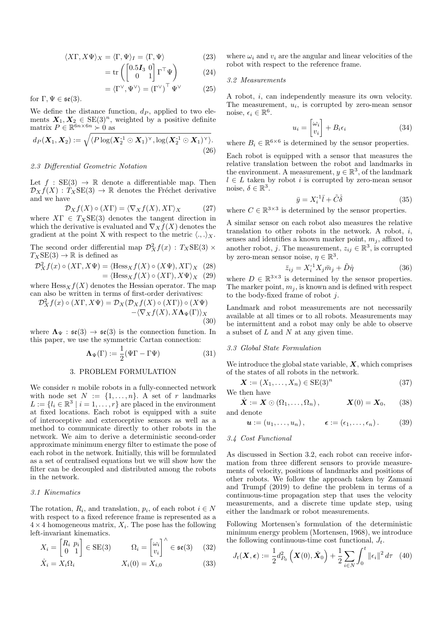$$
\langle X\Gamma, X\Psi \rangle_X = \langle \Gamma, \Psi \rangle_I = \langle \Gamma, \Psi \rangle \tag{23}
$$

$$
= \operatorname{tr} \left( \begin{bmatrix} 0.5I_3 & 0 \\ 0 & 1 \end{bmatrix} \Gamma^\top \Psi \right) \tag{24}
$$

$$
= \langle \Gamma^{\vee}, \Psi^{\vee} \rangle = (\Gamma^{\vee})^{\perp} \Psi^{\vee}
$$
 (25)

for  $\Gamma, \Psi \in \mathfrak{se}(3)$ .

We define the distance function,  $d<sub>P</sub>$ , applied to two elements  $X_1, X_2 \in \text{SE}(3)^n$ , weighted by a positive definite<br>matrix  $P \in \mathbb{R}^{6n \times 6n} \succ 0$  as

$$
d_P(\boldsymbol{X}_1, \boldsymbol{X}_2) := \sqrt{\langle P \log(\boldsymbol{X}_2^{-1} \odot \boldsymbol{X}_1)^\vee, \log(\boldsymbol{X}_2^{-1} \odot \boldsymbol{X}_1)^\vee \rangle}. \tag{26}
$$

# 2.3 Differential Geometric Notation

Let  $f : SE(3) \rightarrow \mathbb{R}$  denote a differentiable map. Then  $\mathcal{D}_X f(X) : T_X \text{SE}(3) \to \mathbb{R}$  denotes the Fréchet derivative and we have

$$
\mathcal{D}_X f(X) \circ (X\Gamma) = \langle \nabla_X f(X), X\Gamma \rangle_X \tag{27}
$$

where  $XT \in T_XSE(3)$  denotes the tangent direction in which the derivative is evaluated and  $\nabla_X f(X)$  denotes the gradient at the point X with respect to the metric  $\langle .,.\rangle_X$ .

The second order differential map  $\mathcal{D}^2_X f(x)$  :  $T_X\textmd{SE}(3)\times$  $T_XSE(3) \rightarrow \mathbb{R}$  is defined as

$$
\mathcal{D}_X^2 f(x) \circ (X\Gamma, X\Psi) = \langle \text{Hess}_X f(X) \circ (X\Psi), X\Gamma \rangle_X \quad (28)
$$
  
= 
$$
\langle \text{Hess}_X f(X) \circ (X\Gamma), X\Psi \rangle_X \quad (29)
$$

where  $Hess_X f(X)$  denotes the Hessian operator. The map can also be written in terms of first-order derivatives:

$$
\mathcal{D}_X^2 f(x) \circ (X\Gamma, X\Psi) = \mathcal{D}_X(\mathcal{D}_X f(X) \circ (X\Gamma)) \circ (X\Psi)
$$
  
 
$$
- \langle \nabla_X f(X), X\Lambda_{\Psi}(\Gamma) \rangle_X
$$
  
(30)

where  $\Lambda_{\Psi} : \mathfrak{se}(3) \to \mathfrak{se}(3)$  is the connection function. In this paper, we use the symmetric Cartan connection:

$$
\Lambda_{\Psi}(\Gamma) := \frac{1}{2}(\Psi\Gamma - \Gamma\Psi)
$$
 (31)

#### 3. PROBLEM FORMULATION

We consider  $n$  mobile robots in a fully-connected network with node set  $N := \{1, ..., n\}$ . A set of r landmarks  $L := \{l_i \in \mathbb{R}^3 \mid i = 1, ..., r\}$  are placed in the environment at fixed locations. Each robot is equipped with a suite of interoceptive and exteroceptive sensors as well as a method to communicate directly to other robots in the network. We aim to derive a deterministic second-order approximate minimum energy filter to estimate the pose of each robot in the network. Initially, this will be formulated as a set of centralised equations but we will show how the filter can be decoupled and distributed among the robots in the network.

## 3.1 Kinematics

The rotation,  $R_i$ , and translation,  $p_i$ , of each robot  $i \in N$ with respect to a fixed reference frame is represented as a  $4 \times 4$  homogeneous matrix,  $X_i$ . The pose has the following left-invariant kinematics.

$$
X_i = \begin{bmatrix} R_i & p_i \\ 0 & 1 \end{bmatrix} \in \text{SE}(3) \qquad \Omega_i = \begin{bmatrix} \omega_i \\ v_i \end{bmatrix}^\wedge \in \mathfrak{se}(3) \tag{32}
$$

$$
\dot{X}_i = X_i \Omega_i \qquad X_i(0) = X_{i,0} \tag{33}
$$

where  $\omega_i$  and  $v_i$  are the angular and linear velocities of the robot with respect to the reference frame.

## 3.2 Measurements

A robot,  $i$ , can independently measure its own velocity. The measurement,  $u_i$ , is corrupted by zero-mean sensor noise,  $\epsilon_i \in \mathbb{R}^6$ .

$$
u_i = \begin{bmatrix} \omega_i \\ v_i \end{bmatrix} + B_i \epsilon_i \tag{34}
$$

where  $B_i \in \mathbb{R}^{6 \times 6}$  is determined by the sensor properties.

Each robot is equipped with a sensor that measures the relative translation between the robot and landmarks in the environment. A measurement,  $y \in \mathbb{R}^3$ , of the landmark  $l \in L$  taken by robot i is corrupted by zero-mean sensor noise,  $\delta \in \mathbb{R}^3$ .

$$
\bar{y} = X_i^{-1}\bar{l} + \tilde{C}\delta \tag{35}
$$

where  $C \in \mathbb{R}^{3 \times 3}$  is determined by the sensor properties.

A similar sensor on each robot also measures the relative translation to other robots in the network. A robot,  $i$ , senses and identifies a known marker point,  $m_j$ , affixed to another robot, j. The measurement,  $z_{ij} \in \mathbb{R}^3$ , is corrupted by zero-mean sensor noise,  $\eta \in \mathbb{R}^3$ .

$$
\bar{z}_{ij} = X_i^{-1} X_j \bar{m}_j + \tilde{D}\mathring{\eta} \tag{36}
$$

where  $D \in \mathbb{R}^{3 \times 3}$  is determined by the sensor properties. The marker point,  $m_j$ , is known and is defined with respect to the body-fixed frame of robot  $j$ .

Landmark and robot measurements are not necessarily available at all times or to all robots. Measurements may be intermittent and a robot may only be able to observe a subset of  $L$  and  $N$  at any given time.

## 3.3 Global State Formulation

We introduce the global state variable,  $\boldsymbol{X}$ , which comprises of the states of all robots in the network.

$$
\mathbf{X} := (X_1, \dots, X_n) \in \text{SE}(3)^n \tag{37}
$$

We then have

$$
\dot{\boldsymbol{X}} := \boldsymbol{X} \odot (\Omega_1, \dots, \Omega_n), \qquad \boldsymbol{X}(0) = \boldsymbol{X}_0, \qquad (38)
$$
 and denote

$$
\mathbf{u} := (u_1, \dots, u_n), \qquad \boldsymbol{\epsilon} := (\epsilon_1, \dots, \epsilon_n). \qquad (39)
$$

#### 3.4 Cost Functional

As discussed in Section 3.2, each robot can receive information from three different sensors to provide measurements of velocity, positions of landmarks and positions of other robots. We follow the approach taken by Zamani and Trumpf  $(2019)$  to define the problem in terms of a continuous-time propagation step that uses the velocity measurements, and a discrete time update step, using either the landmark or robot measurements.

Following Mortensen's formulation of the deterministic minimum energy problem (Mortensen, 1968), we introduce the following continuous-time cost functional,  $J_t$ .

$$
J_t(\boldsymbol{X}, \boldsymbol{\epsilon}) := \frac{1}{2} d_{P_0}^2 \left( \boldsymbol{X}(0), \hat{\boldsymbol{X}}_0 \right) + \frac{1}{2} \sum_{i \in N} \int_0^t ||\epsilon_i||^2 d\tau \quad (40)
$$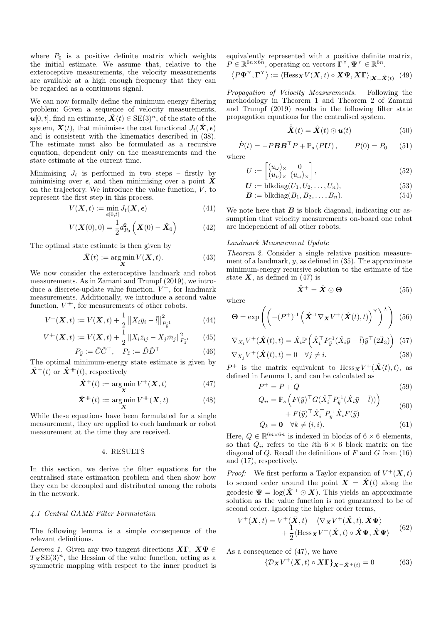where  $P_0$  is a positive definite matrix which weights the initial estimate. We assume that, relative to the exteroceptive measurements, the velocity measurements are available at a high enough frequency that they can be regarded as a continuous signal.

We can now formally define the minimum energy filtering problem: Given a sequence of velocity measurements,  $u[0, t]$ , find an estimate,  $\hat{\mathbf{X}}(t) \in \text{SE}(3)^n$ , of the state of the system,  $\mathbf{X}(t)$ , that minimises the cost functional  $J_t(\hat{\mathbf{X}}, \epsilon)$ and is consistent with the kinematics described in  $(38)$ . The estimate must also be formulated as a recursive equation, dependent only on the measurements and the state estimate at the current time.

Minimising  $J_t$  is performed in two steps - firstly by minimising over  $\epsilon$ , and then minimising over a point X on the trajectory. We introduce the value function,  $V$ , to represent the first step in this process.

$$
V(\mathbf{X},t) := \min_{\boldsymbol{\epsilon}[0,t]} J_t(\mathbf{X}, \boldsymbol{\epsilon})
$$
\n(41)

$$
V(\boldsymbol{X}(0),0) = \frac{1}{2}d_{P_0}^2(\boldsymbol{X}(0) - \hat{\boldsymbol{X}}_0)
$$
(42)

The optimal state estimate is then given by

 $V$ 

$$
\hat{\mathbf{X}}(t) := \underset{\mathbf{X}}{\arg\min} V(\mathbf{X}, t). \tag{43}
$$

We now consider the exteroceptive landmark and robot measurements. As in Zamani and Trumpf (2019), we introduce a discrete-update value function,  $V^+$ , for landmark measurements. Additionally, we introduce a second value function,  $V^+$ , for measurements of other robots.

$$
V^{+}(\boldsymbol{X},t) := V(\boldsymbol{X},t) + \frac{1}{2} \left\| X_i \bar{y}_i - \bar{l} \right\|_{P_{\bar{y}}^{-1}}^{2}
$$
(44)

$$
{}^{+}(\boldsymbol{X},t) := V(\boldsymbol{X},t) + \frac{1}{2} ||X_i \bar{z}_{ij} - X_j \bar{m}_j||_{P_{\bar{z}}^{-1}}^2 \qquad (45)
$$
  

$$
P_{\bar{y}} := \tilde{C}\tilde{C}^{\top}, \quad P_{\bar{z}} := \tilde{D}\tilde{D}^{\top} \qquad (46)
$$

The optimal minimum-energy state estimate is given by  $\hat{\mathbf{X}}^+(t)$  or  $\hat{\mathbf{X}}^+(t)$ , respectively

$$
\hat{\mathbf{X}}^{+}(t) := \arg\min_{\mathbf{Y}} V^{+}(\mathbf{X}, t) \tag{47}
$$

$$
\hat{\mathbf{X}}^{+}(t) := \underset{\mathbf{X}}{\arg\min} V^{+}(\mathbf{X}, t) \tag{48}
$$

While these equations have been formulated for a single measurement, they are applied to each landmark or robot measurement at the time they are received.

# 4. RESULTS

In this section, we derive the filter equations for the centralised state estimation problem and then show how they can be decoupled and distributed among the robots in the network.

# 4.1 Central GAME Filter Formulation

The following lemma is a simple consequence of the relevant definitions.

*Lemma 1.* Given any two tangent directions  $X\Gamma$ .  $X\Psi \in$  $T_{\mathbf{X}}\text{SE}(3)^n$ , the Hessian of the value function, acting as a symmetric mapping with respect to the inner product is

equivalently represented with a positive definite matrix.  $P \in \mathbb{R}^{6n \times 6n}$ , operating on vectors  $\Gamma^{\gamma}, \Psi^{\gamma} \in \mathbb{R}^{6n}$ .

$$
\langle P\Psi^{\Upsilon}, \Gamma^{\Upsilon} \rangle := \langle \text{Hess}_{\mathbf{X}} V(\mathbf{X}, t) \circ \mathbf{X} \Psi, \mathbf{X} \Gamma \rangle_{|\mathbf{X} = \hat{\mathbf{X}}(t)} \tag{49}
$$

Propagation of Velocity Measurements. Following the methodology in Theorem 1 and Theorem 2 of Zamani and Trumpf (2019) results in the following filter state propagation equations for the centralised system.

$$
\hat{\mathbf{X}}(t) = \hat{\mathbf{X}}(t) \odot \mathbf{u}(t) \tag{50}
$$

 $\dot{P}(t) = -P\mathbf{B}\mathbf{B}^{\top}P + \mathbb{P}_s(P\mathbf{U}), \qquad P(0) = P_0$  $(51)$ where

$$
U := \begin{bmatrix} (u_{\omega})_{\times} & 0\\ (u_v)_{\times} & (u_{\omega})_{\times} \end{bmatrix},
$$
\n(52)

$$
\boldsymbol{U} := \text{blkdiag}(U_1, U_2, \dots, U_n),\tag{53}
$$

$$
\mathbf{B} := \text{blkdiag}(B_1, B_2, \dots, B_n). \tag{54}
$$

We note here that  $\boldsymbol{B}$  is block diagonal, indicating our assumption that velocity measurements on-board one robot are independent of all other robots.

#### Landmark Measurement Update

*Theorem 2.* Consider a single relative position measurement of a landmark,  $y$ , as defined in (35). The approximate minimum-energy recursive solution to the estimate of the state  $X$ , as defined in (47) is

$$
\hat{X}^+ = \hat{X} \odot \Theta \tag{55}
$$

where

$$
\mathbf{\Theta} = \exp\left( \left( -(P^+)^{-1} \left( \hat{\mathbf{X}}^{-1} \nabla_{\mathbf{X}} V^+ (\hat{\mathbf{X}}(t), t) \right)^{\gamma} \right)^{\lambda} \right) (56)
$$

$$
\nabla_{X_i} V^+(\hat{\mathbf{X}}(t),t) = \hat{X}_i \mathbb{P} \left( \hat{X}_i^\top P_{\bar{y}}^{-1} (\hat{X}_i \bar{y} - \bar{l}) \bar{y}^\top (2\tilde{\mathbf{I}}_3) \right) (57)
$$

$$
\nabla_{X_j} V^+(\hat{\boldsymbol{X}}(t),t) = 0 \quad \forall j \neq i. \tag{58}
$$

 $P^+$  is the matrix equivalent to  $Hess_{\mathbf{X}}V^+(\hat{\mathbf{X}}(t),t)$ , as defined in Lemma 1, and can be calculated as

$$
P^+ = P + Q \tag{59}
$$

$$
Q_{ii} = \mathbb{P}_s \left( F(\bar{y})^\top G (\hat{X}_i^\top P_{\bar{y}}^{-1} (\hat{X}_i \bar{y} - \bar{l})) \right) \tag{60}
$$

$$
+ F(\bar{y})^{\top} \hat{X}_i^{\top} P_{\bar{y}}^{-1} \hat{X}_i F(\bar{y})
$$
  

$$
Q_k = \mathbf{0} \quad \forall k \neq (i, i).
$$
 (61)

Here, 
$$
Q \in \mathbb{R}^{6n \times 6n}
$$
 is indexed in blocks of  $6 \times 6$  elements,  
so that  $Q_{ii}$  refers to the *i*th  $6 \times 6$  block matrix on the

 $S<sub>O</sub>$ diagonal of Q. Recall the definitions of  $F$  and  $G$  from (16) and  $(17)$ , respectively.

*Proof:* We first perform a Taylor expansion of  $V^+({\bf X},t)$ to second order around the point  $\mathbf{X} = \hat{\mathbf{X}}(t)$  along the geodesic  $\Psi = \log(\hat{X}^{-1} \odot X)$ . This vields an approximate solution as the value function is not guaranteed to be of second order. Ignoring the higher order terms,

$$
V^{+}(\boldsymbol{X},t) = V^{+}(\hat{\boldsymbol{X}},t) + \langle \nabla_{\boldsymbol{X}} V^{+}(\hat{\boldsymbol{X}},t), \hat{\boldsymbol{X}} \boldsymbol{\Psi} \rangle + \frac{1}{2} \langle \text{Hess}_{\boldsymbol{X}} V^{+}(\hat{\boldsymbol{X}},t) \circ \hat{\boldsymbol{X}} \boldsymbol{\Psi}, \hat{\boldsymbol{X}} \boldsymbol{\Psi} \rangle
$$
(62)

As a consequence of  $(47)$ , we have

$$
\left\{ \mathcal{D}_{\mathbf{X}} V^{+}(\mathbf{X},t) \circ \mathbf{X} \mathbf{\Gamma} \right\}_{\mathbf{X} = \hat{\mathbf{X}}^{+}(t)} = 0 \tag{63}
$$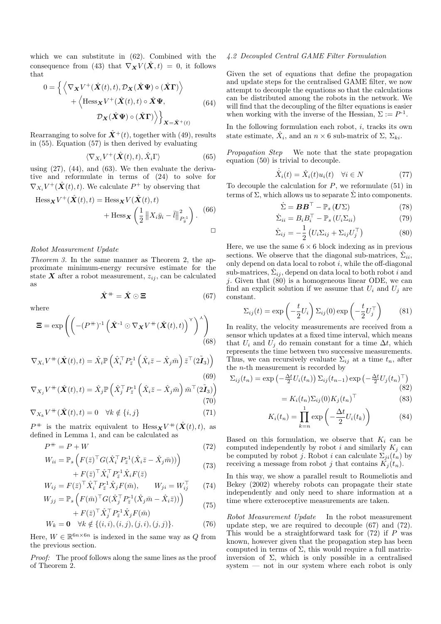which we can substitute in  $(62)$ . Combined with the consequence from (43) that  $\nabla_{\mathbf{X}} V(\hat{\mathbf{X}},t) = 0$ , it follows that

$$
0 = \left\{ \left\langle \nabla_{\mathbf{X}} V^{+}(\hat{\mathbf{X}}(t), t), \mathcal{D}_{\mathbf{X}}(\hat{\mathbf{X}} \Psi) \circ (\hat{\mathbf{X}} \mathbf{\Gamma}) \right\rangle + \left\langle \text{Hess}_{\mathbf{X}} V^{+}(\hat{\mathbf{X}}(t), t) \circ \hat{\mathbf{X}} \Psi, \right\rangle \right\}
$$
\n
$$
\mathcal{D}_{\mathbf{X}}(\hat{\mathbf{X}} \Psi) \circ (\hat{\mathbf{X}} \Gamma) \right\rangle \right\}_{\mathbf{X} = \hat{\mathbf{X}}^{+}(t)}
$$
\n(64)

Rearranging to solve for  $\hat{\mathbf{X}}^+(t)$ , together with (49), results in  $(55)$ . Equation  $(57)$  is then derived by evaluating

$$
\langle \nabla_{X_i} V^+(\hat{\boldsymbol{X}}(t),t), \hat{X}_i \Gamma \rangle \tag{65}
$$

using  $(27)$ ,  $(44)$ , and  $(63)$ . We then evaluate the derivative and reformulate in terms of  $(24)$  to solve for  $\nabla_{X_i} V^+(\hat{\mathbf{X}}(t),t)$ . We calculate  $P^+$  by observing that

$$
\begin{aligned} \text{Hess}_{\mathbf{X}} V^{+}(\hat{\mathbf{X}}(t), t) &= \text{Hess}_{\mathbf{X}} V(\hat{\mathbf{X}}(t), t) \\ &+ \text{Hess}_{\mathbf{X}} \left( \frac{1}{2} \left\| X_{i} \bar{y}_{i} - \bar{l} \right\|_{P_{\bar{y}}^{-1}}^{2} \right). \end{aligned} \tag{66}
$$

# Robot Measurement Update

*Theorem 3.* In the same manner as Theorem 2, the approximate minimum-energy recursive estimate for the state X after a robot measurement,  $z_{ij}$ , can be calculated as

$$
\hat{X}^+ = \hat{X} \odot \Xi \tag{67}
$$

where

$$
\Xi = \exp\left(\left(-\left(P^{+}\right)^{-1}\left(\hat{\boldsymbol{X}}^{-1} \odot \nabla_{\boldsymbol{X}} V^{+}(\hat{\boldsymbol{X}}(t), t)\right)^{\gamma}\right)^{\lambda}\right) \tag{68}
$$

$$
\nabla_{X_i} V^+ (\hat{\mathbf{X}}(t), t) = \hat{X}_i \mathbb{P} \left( \hat{X}_i^\top P_{\bar{z}}^{-1} \left( \hat{X}_i \bar{z} - \hat{X}_j \bar{m} \right) \bar{z}^\top (2 \tilde{\mathbf{I}}_3) \right)
$$
(69)

$$
\nabla_{X_j} V^{+}(\hat{\boldsymbol{X}}(t), t) = \hat{X}_j \mathbb{P}\left(\hat{X}_j^{\top} P_{\bar{z}}^{-1} \left(\hat{X}_i \bar{z} - \hat{X}_j \bar{m}\right) \bar{m}^{\top}(\tilde{2I}_3)\right)
$$
\n(70)

$$
\nabla_{X_k} V^{\dagger}(\hat{\boldsymbol{X}}(t), t) = 0 \quad \forall k \notin \{i, j\}
$$
\n(71)

 $P^+$  is the matrix equivalent to Hess  $\mathbf{x} V^+ (\hat{\mathbf{X}}(t), t)$ , as defined in Lemma 1, and can be calculated as

$$
P^+ = P + W \tag{72}
$$

$$
W_{ii} = \mathbb{P}_s \left( F(\bar{z})^\top G (\hat{X}_i^\top P_{\bar{z}}^{-1} (\hat{X}_i \bar{z} - \hat{X}_j \bar{m})) \right) + F(\bar{z})^\top \hat{X}^\top P_{\bar{z}}^{-1} \hat{X}_i F(\bar{z})
$$
\n(73)

$$
W_{ij} = F(\bar{z})^{\top} \hat{X}_i^{\top} P_{\bar{z}}^{\perp 1} \hat{X}_j F(\bar{m}), \qquad W_{ji} = W_{ij}^{\top} \qquad (74)
$$

$$
W_{jj} = \mathbb{P}_s \left( F(\bar{m})^\top G(\hat{X}_j^\top P_{\bar{z}}^{-1} (\hat{X}_j \bar{m} - \hat{X}_i \bar{z})) \right) + F(\bar{z})^\top \hat{X}_s^\top P_{\bar{z}}^{-1} \hat{X}_i F(\bar{m})
$$
(75)

$$
W_k = \mathbf{0} \quad \forall k \notin \{ (i, i), (i, j), (j, i), (j, j) \}.
$$
 (76)

Here,  $W \in \mathbb{R}^{6n \times 6n}$  is indexed in the same way as Q from the previous section.

*Proof:* The proof follows along the same lines as the proof of Theorem 2.

## 4.2 Decoupled Central GAME Filter Formulation

Given the set of equations that define the propagation and update steps for the centralised GAME filter, we now attempt to decouple the equations so that the calculations can be distributed among the robots in the network. We will find that the decoupling of the filter equations is easier when working with the inverse of the Hessian,  $\Sigma := P^{-1}$ .

In the following formulation each robot,  $i$ , tracks its own state estimate,  $\hat{X}_i$ , and an  $n \times 6$  sub-matrix of  $\Sigma$ ,  $\Sigma_{ki}$ .

*Propagation Step* We note that the state propagation equation  $(50)$  is trivial to decouple.

 $\ddot{\phantom{a}}$ 

$$
\hat{X}_i(t) = \hat{X}_i(t)u_i(t) \quad \forall i \in N \tag{77}
$$

To decouple the calculation for  $P$ , we reformulate (51) in terms of  $\Sigma$ , which allows us to separate  $\dot{\Sigma}$  into components.

$$
\dot{\Sigma} = \boldsymbol{B}\boldsymbol{B}^{\top} - \mathbb{P}_{s} \left( \boldsymbol{U} \Sigma \right) \tag{78}
$$

$$
\dot{\Sigma}_{ii} = B_i B_i^{\top} - \mathbb{P}_s \left( U_i \Sigma_{ii} \right) \tag{79}
$$

$$
\dot{\Sigma}_{ij} = -\frac{1}{2} \left( U_i \Sigma_{ij} + \Sigma_{ij} U_j^\top \right) \tag{80}
$$

Here, we use the same  $6 \times 6$  block indexing as in previous sections. We observe that the diagonal sub-matrices,  $\Sigma_{ii}$ , only depend on data local to robot  $i$ , while the off-diagonal sub-matrices,  $\Sigma_{ii}$ , depend on data local to both robot i and *i*. Given that  $(80)$  is a homogeneous linear ODE, we can find an explicit solution if we assume that  $U_i$  and  $U_j$  are constant.

$$
\Sigma_{ij}(t) = \exp\left(-\frac{t}{2}U_i\right)\Sigma_{ij}(0)\exp\left(-\frac{t}{2}U_j^\top\right) \tag{81}
$$

In reality, the velocity measurements are received from a sensor which updates at a fixed time interval, which means that  $U_i$  and  $U_j$  do remain constant for a time  $\Delta t$ , which represents the time between two successive measurements. Thus, we can recursively evaluate  $\Sigma_{ij}$  at a time  $t_n$ , after the  $n$ -th measurement is recorded by

$$
\Sigma_{ij}(t_n) = \exp\left(-\frac{\Delta t}{2}U_i(t_n)\right)\Sigma_{ij}(t_{n-1})\exp\left(-\frac{\Delta t}{2}U_j(t_n)^\top\right)
$$
\n(82)

$$
= K_i(t_n) \Sigma_{ij}(0) K_j(t_n)^\top \tag{83}
$$

$$
K_i(t_n) = \prod_{k=n}^{1} \exp\left(-\frac{\Delta t}{2} U_i(t_k)\right)
$$
 (84)

Based on this formulation, we observe that  $K_i$  can be computed independently by robot i and similarly  $K_j$  can be computed by robot j. Robot i can calculate  $\Sigma_{ji}(\tilde{t}_n)$  by receiving a message from robot j that contains  $K_i(t_n)$ .

In this way, we show a parallel result to Roumeliotis and Bekey  $(2002)$  whereby robots can propagate their state independently and only need to share information at a time where exteroceptive measurements are taken.

Robot Measurement Update In the robot measurement update step, we are required to decouple  $(67)$  and  $(72)$ . This would be a straightforward task for  $(72)$  if P was known, however given that the propagation step has been computed in terms of  $\Sigma$ , this would require a full matrixinversion of  $\Sigma$ , which is only possible in a centralised system  $-$  not in our system where each robot is only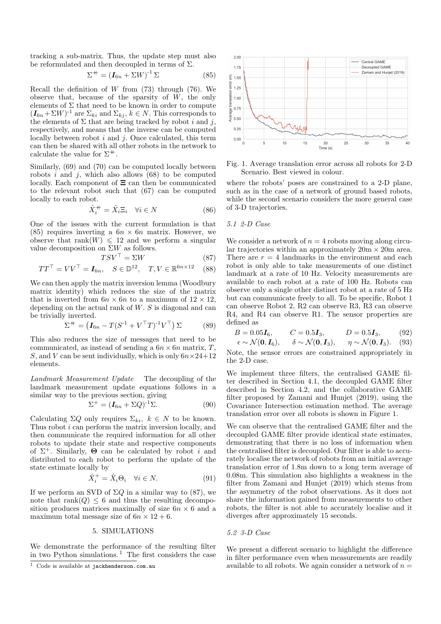tracking a sub-matrix. Thus, the update step must also be reformulated and then decoupled in terms of  $\Sigma$ .

$$
\Sigma^+ = \left(\mathbf{I}_{6n} + \Sigma W\right)^{-1} \Sigma \tag{85}
$$

Recall the definition of  $W$  from (73) through (76). We observe that, because of the sparsity of  $W$ , the only elements of  $\Sigma$  that need to be known in order to compute  $(I_{6n} + \Sigma W)^{-1}$  are  $\Sigma_{ki}$  and  $\Sigma_{kj}$ ,  $k \in N$ . This corresponds to the elements of  $\Sigma$  that are being tracked by robot i and j, respectively, and means that the inverse can be computed locally between robot  $i$  and  $j$ . Once calculated, this term can then be shared with all other robots in the network to calculate the value for  $\Sigma^+$ .

Similarly, (69) and (70) can be computed locally between robots  $i$  and  $j$ , which also allows (68) to be computed locally. Each component of  $\Xi$  can then be communicated to the relevant robot such that  $(67)$  can be computed locally to each robot.

$$
\hat{X}_i^+ = \hat{X}_i \Xi_i \quad \forall i \in N \tag{86}
$$

One of the issues with the current formulation is that  $(85)$  requires inverting a  $6n \times 6n$  matrix. However, we observe that rank(W)  $\leq 12$  and we perform a singular value decomposition on  $\Sigma W$  as follows.

$$
TSV^{\top} = \Sigma W \tag{87}
$$
  

$$
TT^{\top} = VV^{\top} = \mathbf{I}_{6n}, \quad S \in \mathbb{D}^{12}, \quad T, V \in \mathbb{R}^{6n \times 12} \tag{88}
$$

We can then apply the matrix inversion lemma (Woodbury matrix identity) which reduces the size of the matrix that is inverted from  $6n \times 6n$  to a maximum of  $12 \times 12$ . depending on the actual rank of  $W$ . S is diagonal and can be trivially inverted.

$$
\Sigma^+ = \left(\boldsymbol{I}_{6n} - T(S^{-1} + V^\top T)^{-1} V^\top\right) \Sigma \tag{89}
$$

This also reduces the size of messages that need to be communicated, as instead of sending a  $6n \times 6n$  matrix, T, S, and V can be sent individually, which is only  $6n \times 24+12$ elements.

Landmark Measurement Update The decoupling of the landmark measurement update equations follows in a similar way to the previous section, giving

$$
\Sigma^+ = (\mathbf{I}_{6n} + \Sigma Q)^{-1} \Sigma. \tag{90}
$$

Calculating  $\Sigma Q$  only requires  $\Sigma_{ki}$ ,  $k \in N$  to be known. Thus robot  $i$  can perform the matrix inversion locally, and then communicate the required information for all other robots to update their state and respective components of  $\Sigma^+$ . Similarly,  $\Theta$  can be calculated by robot i and distributed to each robot to perform the update of the state estimate locally by

$$
\hat{X}_i^+ = \hat{X}_i \Theta_i \quad \forall i \in N. \tag{91}
$$

If we perform an SVD of  $\Sigma Q$  in a similar way to (87), we note that rank( $Q$ )  $\leq$  6 and thus the resulting decomposition produces matrices maximally of size  $6n \times 6$  and a maximum total message size of  $6n \times 12 + 6$ .

# 5. SIMULATIONS

We demonstrate the performance of the resulting filter in two Python simulations.<sup>1</sup> The first considers the case



Fig. 1. Average translation error across all robots for 2-D Scenario. Best viewed in colour.

where the robots' poses are constrained to a 2-D plane, such as in the case of a network of ground based robots, while the second scenario considers the more general case of 3-D trajectories.

## 5.1 2-D Case

We consider a network of  $n = 4$  robots moving along circular trajectories within an approximately  $20m \times 20m$  area. There are  $r = 4$  landmarks in the environment and each robot is only able to take measurements of one distinct landmark at a rate of 10 Hz. Velocity measurements are available to each robot at a rate of 100 Hz. Robots can observe only a single other distinct robot at a rate of 5 Hz but can communicate freely to all. To be specific, Robot 1 can observe Robot 2, R2 can observe R3, R3 can observe R4, and R4 can observe R1. The sensor properties are defined as

$$
B = 0.05I_6, \t C = 0.5I_3, \t D = 0.5I_3, \t (92)
$$

$$
\epsilon \sim \mathcal{N}(\mathbf{0}, \mathbf{I}_6), \quad \delta \sim \mathcal{N}(\mathbf{0}, \mathbf{I}_3), \quad \eta \sim \mathcal{N}(\mathbf{0}, \mathbf{I}_3). \quad (93)
$$

Note, the sensor errors are constrained appropriately in the 2-D case.

We implement three filters, the centralised GAME filter described in Section 4.1, the decoupled GAME filter described in Section 4.2, and the collaborative GAME filter proposed by Zamani and Hunjet (2019), using the Covariance Intersection estimation method. The average translation error over all robots is shown in Figure 1.

We can observe that the centralised GAME filter and the decoupled GAME filter provide identical state estimates. demonstrating that there is no loss of information when the centralised filter is decoupled. Our filter is able to accurately localise the network of robots from an initial average translation error of 1.8m down to a long term average of  $0.08m$ . This simulation also highlights a weakness in the filter from Zamani and Hunjet (2019) which stems from the asymmetry of the robot observations. As it does not share the information gained from measurements to other robots, the filter is not able to accurately localise and it diverges after approximately 15 seconds.

## 5.2 3-D Case

We present a different scenario to highlight the difference in filter performance even when measurements are readily available to all robots. We again consider a network of  $n =$ 

<sup>&</sup>lt;sup>1</sup> Code is available at jackhenderson.com.au